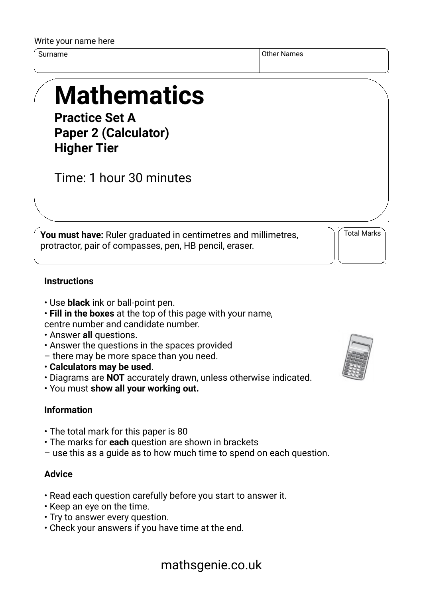#### Write your name here

Surname Other Names of the Surname of the Surname of the Surname of the Surname of the Surname of the Surname o

# **Mathematics**

**Practice Set A Paper 2 (Calculator) Higher Tier**

Time: 1 hour 30 minutes

**You must have:** Ruler graduated in centimetres and millimetres, protractor, pair of compasses, pen, HB pencil, eraser.

Total Marks

#### **Instructions**

- Use **black** ink or ball-point pen.
- **Fill in the boxes** at the top of this page with your name,

centre number and candidate number.

- Answer **all** questions.
- Answer the questions in the spaces provided
- there may be more space than you need.
- **Calculators may be used**.
- Diagrams are **NOT** accurately drawn, unless otherwise indicated.
- You must **show all your working out.**

### **Information**

- The total mark for this paper is 80
- The marks for **each** question are shown in brackets
- use this as a guide as to how much time to spend on each question.

#### **Advice**

- Read each question carefully before you start to answer it.
- Keep an eye on the time.
- Try to answer every question.
- Check your answers if you have time at the end.



## mathsgenie.co.uk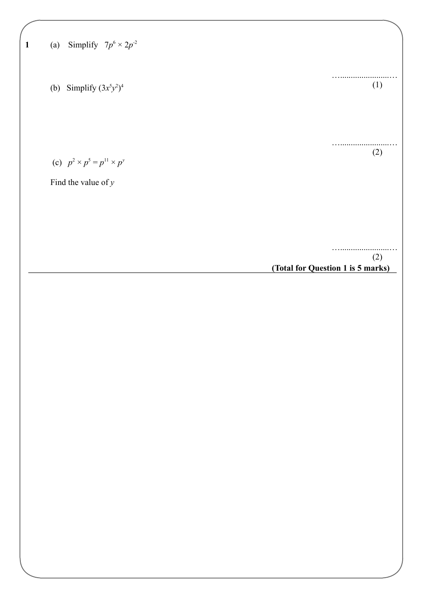|  |  |  | (a) Simplify $7p^6 \times 2p^{-2}$ |  |
|--|--|--|------------------------------------|--|
|--|--|--|------------------------------------|--|

(b) Simplify  $(3x^5y^2)^4$ 

(c)  $p^2 \times p^5 = p^{11} \times p^y$ 

Find the value of *y*

….......................… (2)

….......................…

….......................…

(1)

(2)

**(Total for Question 1 is 5 marks)**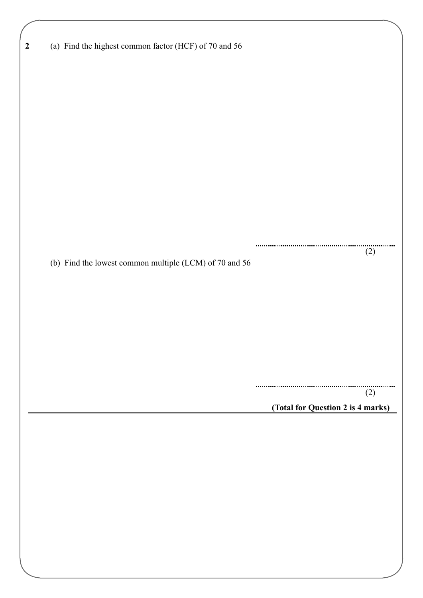| (a) Find the highest common factor (HCF) of 70 and 56<br>(2)<br>(b) Find the lowest common multiple (LCM) of 70 and 56<br>(2)<br>(Total for Question 2 is 4 marks) |                  |  |
|--------------------------------------------------------------------------------------------------------------------------------------------------------------------|------------------|--|
|                                                                                                                                                                    | $\boldsymbol{2}$ |  |
|                                                                                                                                                                    |                  |  |
|                                                                                                                                                                    |                  |  |
|                                                                                                                                                                    |                  |  |
|                                                                                                                                                                    |                  |  |
|                                                                                                                                                                    |                  |  |
|                                                                                                                                                                    |                  |  |
|                                                                                                                                                                    |                  |  |
|                                                                                                                                                                    |                  |  |
|                                                                                                                                                                    |                  |  |
|                                                                                                                                                                    |                  |  |
|                                                                                                                                                                    |                  |  |
|                                                                                                                                                                    |                  |  |
|                                                                                                                                                                    |                  |  |
|                                                                                                                                                                    |                  |  |
|                                                                                                                                                                    |                  |  |
|                                                                                                                                                                    |                  |  |
|                                                                                                                                                                    |                  |  |
|                                                                                                                                                                    |                  |  |
|                                                                                                                                                                    |                  |  |
|                                                                                                                                                                    |                  |  |
|                                                                                                                                                                    |                  |  |
|                                                                                                                                                                    |                  |  |
|                                                                                                                                                                    |                  |  |
|                                                                                                                                                                    |                  |  |
|                                                                                                                                                                    |                  |  |
|                                                                                                                                                                    |                  |  |
|                                                                                                                                                                    |                  |  |
|                                                                                                                                                                    |                  |  |
|                                                                                                                                                                    |                  |  |
|                                                                                                                                                                    |                  |  |
|                                                                                                                                                                    |                  |  |
|                                                                                                                                                                    |                  |  |
|                                                                                                                                                                    |                  |  |
|                                                                                                                                                                    |                  |  |
|                                                                                                                                                                    |                  |  |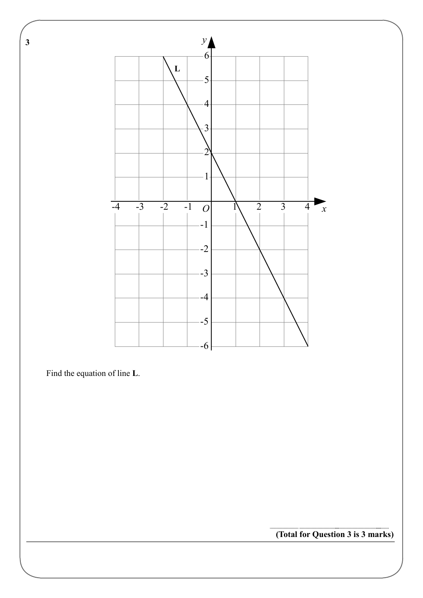

Find the equation of line **L**.

**(Total for Question 3 is 3 marks)**

 **3**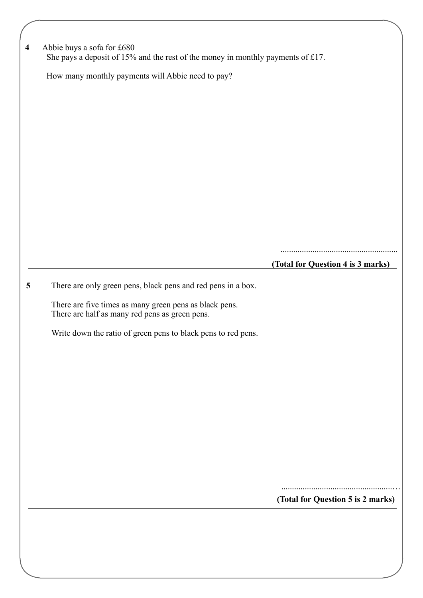| Abbie buys a sofa for £680<br>She pays a deposit of 15% and the rest of the money in monthly payments of £17. |                                   |
|---------------------------------------------------------------------------------------------------------------|-----------------------------------|
| How many monthly payments will Abbie need to pay?                                                             |                                   |
|                                                                                                               |                                   |
|                                                                                                               |                                   |
|                                                                                                               |                                   |
|                                                                                                               |                                   |
|                                                                                                               |                                   |
|                                                                                                               |                                   |
|                                                                                                               |                                   |
|                                                                                                               |                                   |
|                                                                                                               |                                   |
|                                                                                                               | (Total for Question 4 is 3 marks) |
| There are only green pens, black pens and red pens in a box.                                                  |                                   |
| There are five times as many green pens as black pens.<br>There are half as many red pens as green pens.      |                                   |
| Write down the ratio of green pens to black pens to red pens.                                                 |                                   |
|                                                                                                               |                                   |
|                                                                                                               |                                   |
|                                                                                                               |                                   |
|                                                                                                               |                                   |
|                                                                                                               |                                   |
|                                                                                                               |                                   |
|                                                                                                               |                                   |
|                                                                                                               |                                   |
|                                                                                                               |                                   |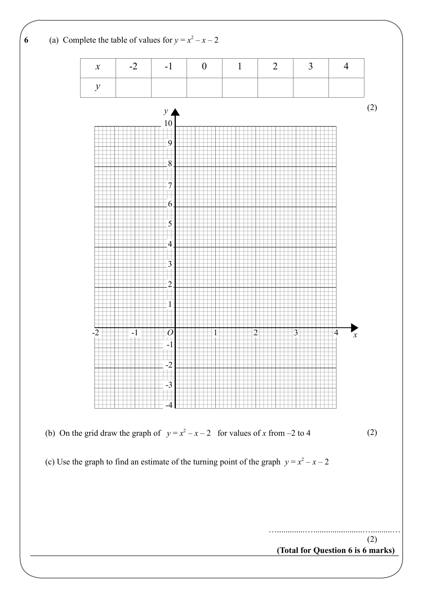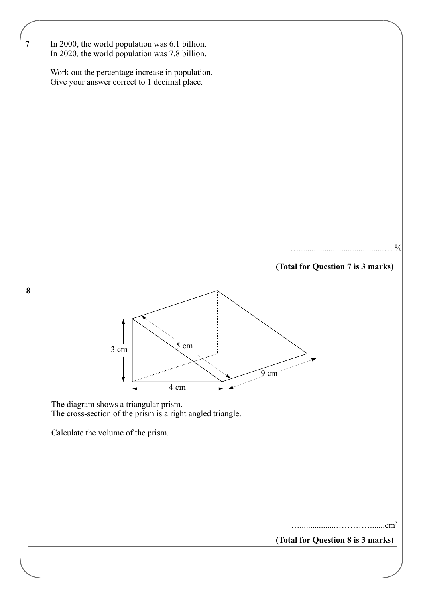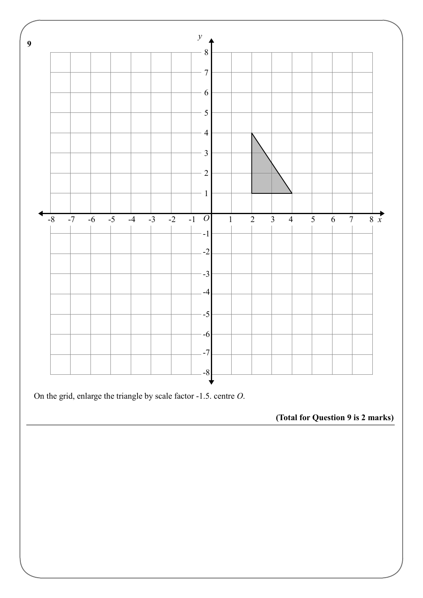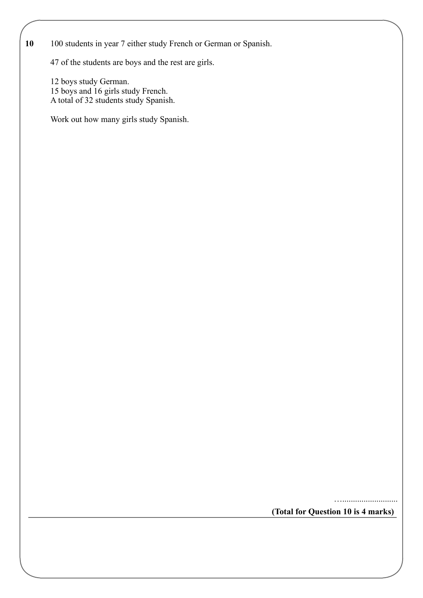#### **10** 100 students in year 7 either study French or German or Spanish.

47 of the students are boys and the rest are girls.

12 boys study German. 15 boys and 16 girls study French. A total of 32 students study Spanish.

Work out how many girls study Spanish.

…..........................

**(Total for Question 10 is 4 marks)**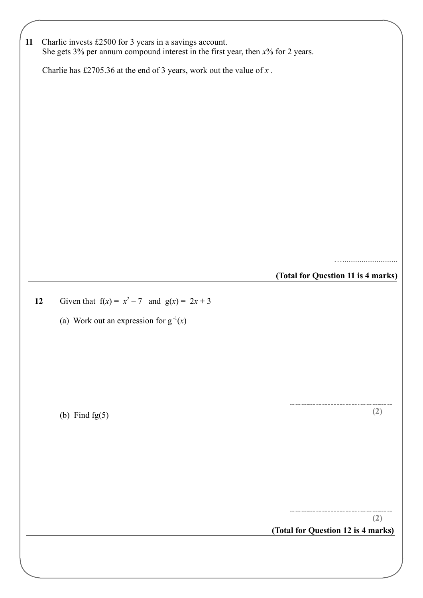| 11 |                                                                         | Charlie invests £2500 for 3 years in a savings account.<br>She gets $3\%$ per annum compound interest in the first year, then $x\%$ for 2 years. |                                    |  |  |
|----|-------------------------------------------------------------------------|--------------------------------------------------------------------------------------------------------------------------------------------------|------------------------------------|--|--|
|    | Charlie has £2705.36 at the end of 3 years, work out the value of $x$ . |                                                                                                                                                  |                                    |  |  |
|    |                                                                         |                                                                                                                                                  |                                    |  |  |
|    |                                                                         |                                                                                                                                                  |                                    |  |  |
|    |                                                                         |                                                                                                                                                  |                                    |  |  |
|    |                                                                         |                                                                                                                                                  |                                    |  |  |
|    |                                                                         |                                                                                                                                                  |                                    |  |  |
|    |                                                                         |                                                                                                                                                  |                                    |  |  |
|    |                                                                         |                                                                                                                                                  |                                    |  |  |
|    |                                                                         |                                                                                                                                                  |                                    |  |  |
|    |                                                                         |                                                                                                                                                  |                                    |  |  |
|    |                                                                         |                                                                                                                                                  | . <b>.</b> .                       |  |  |
|    |                                                                         |                                                                                                                                                  | (Total for Question 11 is 4 marks) |  |  |
|    | 12                                                                      | Given that $f(x) = x^2 - 7$ and $g(x) = 2x + 3$                                                                                                  |                                    |  |  |
|    |                                                                         | (a) Work out an expression for $g^{-1}(x)$                                                                                                       |                                    |  |  |
|    |                                                                         |                                                                                                                                                  |                                    |  |  |
|    |                                                                         |                                                                                                                                                  |                                    |  |  |
|    |                                                                         |                                                                                                                                                  |                                    |  |  |
|    |                                                                         |                                                                                                                                                  | (2)                                |  |  |
|    |                                                                         | (b) Find $fg(5)$                                                                                                                                 |                                    |  |  |
|    |                                                                         |                                                                                                                                                  |                                    |  |  |
|    |                                                                         |                                                                                                                                                  |                                    |  |  |
|    |                                                                         |                                                                                                                                                  |                                    |  |  |
|    |                                                                         |                                                                                                                                                  |                                    |  |  |
|    |                                                                         |                                                                                                                                                  | (2)                                |  |  |
|    |                                                                         |                                                                                                                                                  | (Total for Question 12 is 4 marks) |  |  |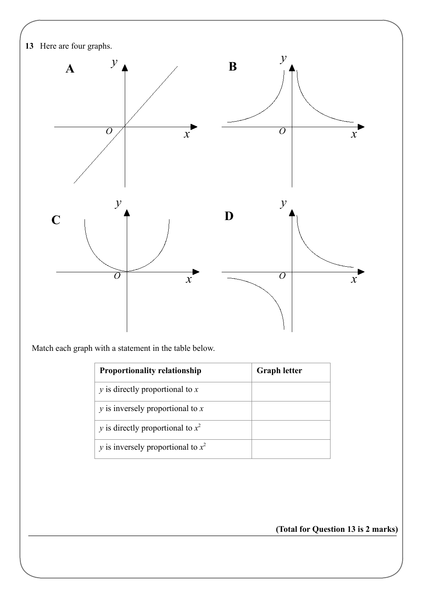

Match each graph with a statement in the table below.

| <b>Proportionality relationship</b>         | <b>Graph letter</b> |
|---------------------------------------------|---------------------|
| $y$ is directly proportional to $x$         |                     |
| $\gamma$ is inversely proportional to x     |                     |
| y is directly proportional to $x^2$         |                     |
| <i>y</i> is inversely proportional to $x^2$ |                     |

**(Total for Question 13 is 2 marks)**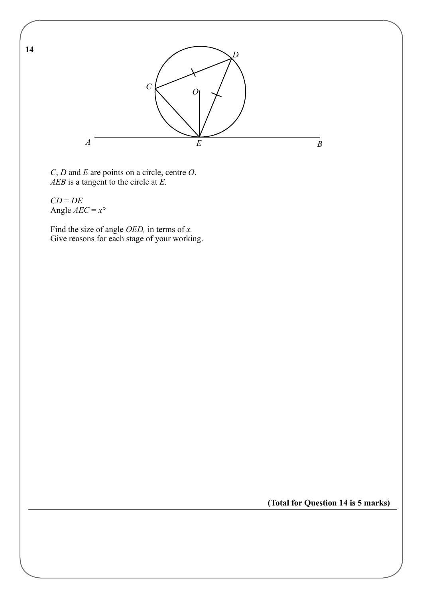

*C*, *D* and *E* are points on a circle, centre *O*. *AEB* is a tangent to the circle at *E.*

*CD* = *DE* Angle *AEC* = *x°*

Find the size of angle *OED,* in terms of *x.* Give reasons for each stage of your working.

**(Total for Question 14 is 5 marks)**

**14**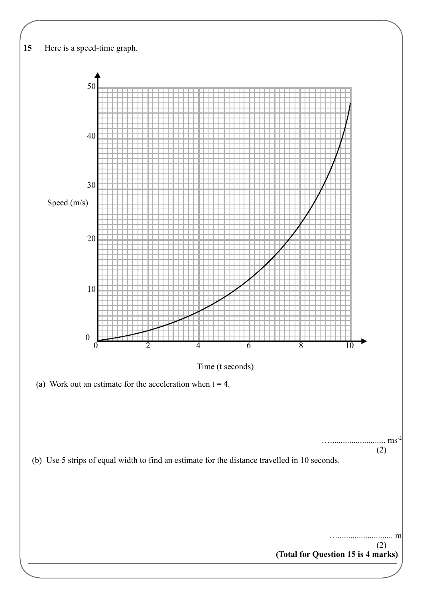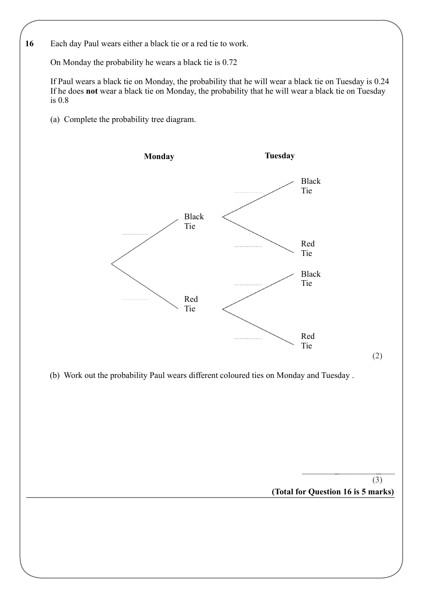

On Monday the probability he wears a black tie is 0.72

If Paul wears a black tie on Monday, the probability that he will wear a black tie on Tuesday is 0.24 If he does **not** wear a black tie on Monday, the probability that he will wear a black tie on Tuesday is 0.8

(a) Complete the probability tree diagram.

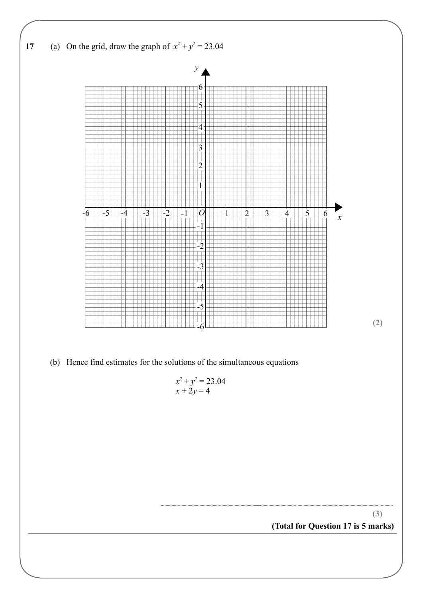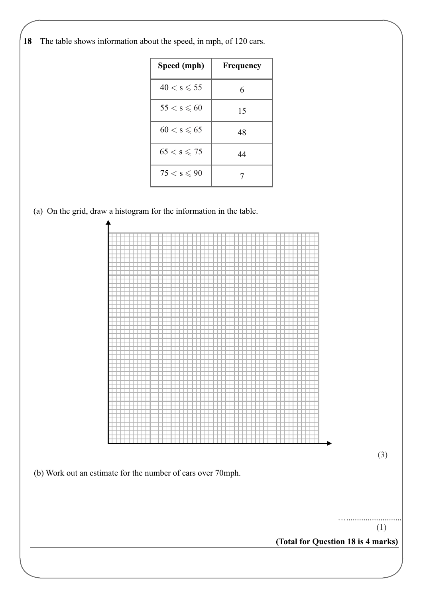**18** The table shows information about the speed, in mph, of 120 cars.

| Speed (mph)           | Frequency |
|-----------------------|-----------|
| $40 < s \leqslant 55$ | 6         |
| $55 < s \leqslant 60$ | 15        |
| $60 < s \leqslant 65$ | 48        |
| $65 < s \leqslant 75$ | 44        |
| $75 < s \leqslant 90$ |           |

(a) On the grid, draw a histogram for the information in the table.



**(Total for Question 18 is 4 marks)**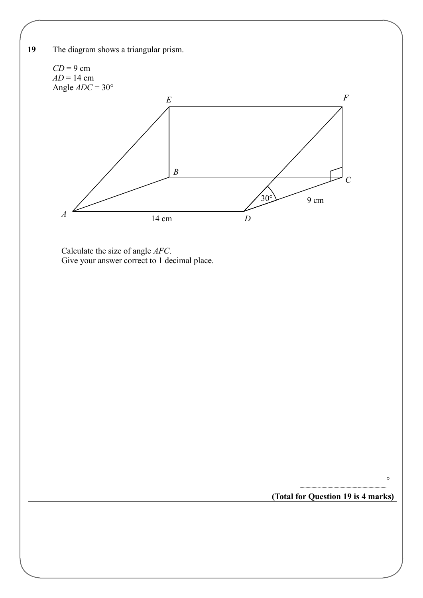

**(Total for Question 19 is 4 marks)**

*°*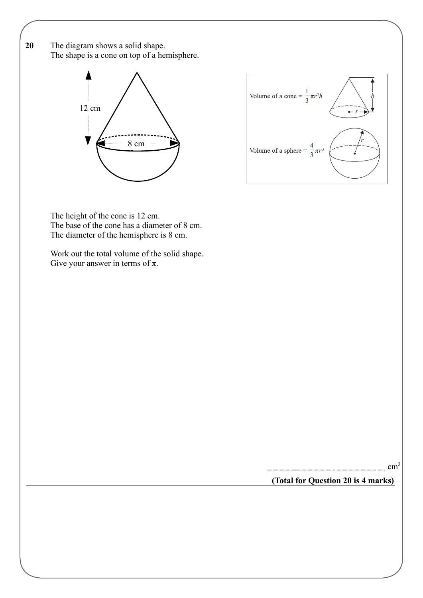**20** The diagram shows a solid shape. The shape is a cone on top of a hemisphere.





The height of the cone is 12 cm. The base of the cone has a diameter of 8 cm. The diameter of the hemisphere is 8 cm.

Work out the total volume of the solid shape. Give your answer in terms of  $\pi$ .

**(Total for Question 20 is 4 marks)**

cm<sup>3</sup>